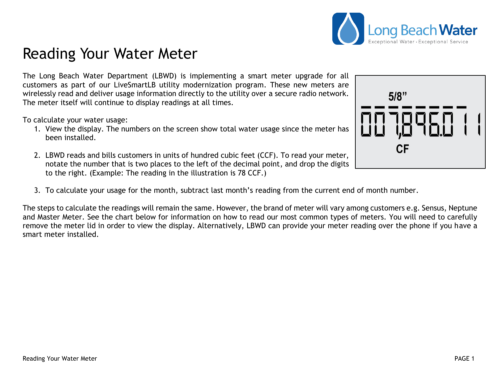## Reading Your Water Meter

The Long Beach Water Department (LBWD) is implementing a smart meter upgrade for all customers as part of our LiveSmartLB utility modernization program. These new meters are wirelessly read and deliver usage information directly to the utility over a secure radio network. The meter itself will continue to display readings at all times.

To calculate your water usage:

- 1. View the display. The numbers on the screen show total water usage since the meter has been installed.
- 2. LBWD reads and bills customers in units of hundred cubic feet (CCF). To read your meter, notate the number that is two places to the left of the decimal point, and drop the digits to the right. (Example: The reading in the illustration is 78 CCF.)
- 3. To calculate your usage for the month, subtract last month's reading from the current end of month number.

The steps to calculate the readings will remain the same. However, the brand of meter will vary among customers e.g. Sensus, Neptune and Master Meter. See the chart below for information on how to read our most common types of meters. You will need to carefully remove the meter lid in order to view the display. Alternatively, LBWD can provide your meter reading over the phone if you have a smart meter installed.